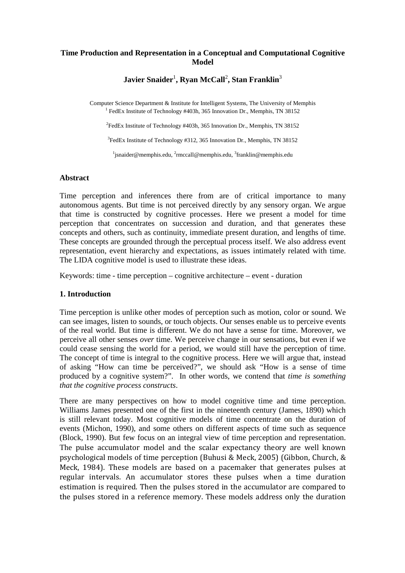# **Time Production and Representation in a Conceptual and Computational Cognitive Model**

 $J$ avier Snaider<sup>1</sup>, Ryan McCall<sup>2</sup>, Stan Franklin<sup>3</sup>

Computer Science Department & Institute for Intelligent Systems, The University of Memphis <sup>1</sup> FedEx Institute of Technology #403h, 365 Innovation Dr., Memphis, TN 38152

<sup>2</sup>FedEx Institute of Technology #403h, 365 Innovation Dr., Memphis, TN 38152

<sup>3</sup>FedEx Institute of Technology #312, 365 Innovation Dr., Memphis, TN 38152

<sup>1</sup>jsnaider@memphis.edu, <sup>2</sup>rmccall@memphis.edu, <sup>3</sup>franklin@memphis.edu

#### **Abstract**

Time perception and inferences there from are of critical importance to many autonomous agents. But time is not perceived directly by any sensory organ. We argue that time is constructed by cognitive processes. Here we present a model for time perception that concentrates on succession and duration, and that generates these concepts and others, such as continuity, immediate present duration, and lengths of time. These concepts are grounded through the perceptual process itself. We also address event representation, event hierarchy and expectations, as issues intimately related with time. The LIDA cognitive model is used to illustrate these ideas.

Keywords: time - time perception  $-\text{cognitive architecture} - \text{event} - \text{duration}$ 

#### **1. Introduction**

Time perception is unlike other modes of perception such as motion, color or sound. We can see images, listen to sounds, or touch objects. Our senses enable us to perceive events of the real world. But time is different. We do not have a sense for time. Moreover, we perceive all other senses *over* time. We perceive change in our sensations, but even if we could cease sensing the world for a period, we would still have the perception of time. The concept of time is integral to the cognitive process. Here we will argue that, instead of asking "How can time be perceived?", we should ask "How is a sense of time produced by a cognitive system?". In other words, we contend that *time is something that the cognitive process constructs*.

There are many perspectives on how to model cognitive time and time perception. Williams James presented one of the first in the nineteenth century (James, 1890) which is still relevant today. Most cognitive models of time concentrate on the duration of events (Michon, 1990), and some others on different aspects of time such as sequence (Block, 1990). But few focus on an integral view of time perception and representation. The pulse accumulator model and the scalar expectancy theory are well known psychological models of time perception (Buhusi & Meck, 2005) (Gibbon, Church, & Meck, 1984). These models are based on a pacemaker that generates pulses at regular intervals. An accumulator stores these pulses when a time duration estimation is required. Then the pulses stored in the accumulator are compared to the pulses stored in a reference memory. These models address only the duration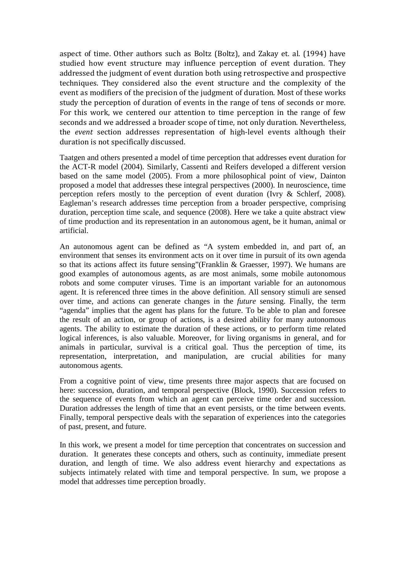aspect of time. Other authors such as Boltz (Boltz), and Zakay et. al. (1994) have studied how event structure may influence perception of event duration. They addressed the judgment of event duration both using retrospective and prospective techniques. They considered also the event structure and the complexity of the event as modifiers of the precision of the judgment of duration. Most of these works study the perception of duration of events in the range of tens of seconds or more. For this work, we centered our attention to time perception in the range of few seconds and we addressed a broader scope of time, not only duration. Nevertheless, the *event* section addresses representation of high-level events although their duration is not specifically discussed.

Taatgen and others presented a model of time perception that addresses event duration for the ACT-R model (2004). Similarly, Cassenti and Reifers developed a different version based on the same model (2005). From a more philosophical point of view, Dainton proposed a model that addresses these integral perspectives (2000). In neuroscience, time perception refers mostly to the perception of event duration (Ivry & Schlerf, 2008). Eagleman's research addresses time perception from a broader perspective, comprising duration, perception time scale, and sequence (2008). Here we take a quite abstract view of time production and its representation in an autonomous agent, be it human, animal or artificial.

An autonomous agent can be defined as "A system embedded in, and part of, an environment that senses its environment acts on it over time in pursuit of its own agenda so that its actions affect its future sensing"(Franklin & Graesser, 1997). We humans are good examples of autonomous agents, as are most animals, some mobile autonomous robots and some computer viruses. Time is an important variable for an autonomous agent. It is referenced three times in the above definition. All sensory stimuli are sensed over time, and actions can generate changes in the *future* sensing. Finally, the term "agenda" implies that the agent has plans for the future. To be able to plan and foresee the result of an action, or group of actions, is a desired ability for many autonomous agents. The ability to estimate the duration of these actions, or to perform time related logical inferences, is also valuable. Moreover, for living organisms in general, and for animals in particular, survival is a critical goal. Thus the perception of time, its representation, interpretation, and manipulation, are crucial abilities for many autonomous agents.

From a cognitive point of view, time presents three major aspects that are focused on here: succession, duration, and temporal perspective (Block, 1990). Succession refers to the sequence of events from which an agent can perceive time order and succession. Duration addresses the length of time that an event persists, or the time between events. Finally, temporal perspective deals with the separation of experiences into the categories of past, present, and future.

In this work, we present a model for time perception that concentrates on succession and duration. It generates these concepts and others, such as continuity, immediate present duration, and length of time. We also address event hierarchy and expectations as subjects intimately related with time and temporal perspective. In sum, we propose a model that addresses time perception broadly.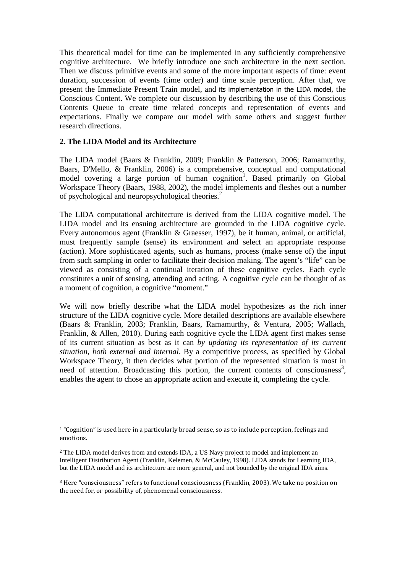This theoretical model for time can be implemented in any sufficiently comprehensive cognitive architecture. We briefly introduce one such architecture in the next section. Then we discuss primitive events and some of the more important aspects of time: event duration, succession of events (time order) and time scale perception. After that, we present the Immediate Present Train model, and its implementation in the LIDA model, the Conscious Content. We complete our discussion by describing the use of this Conscious Contents Queue to create time related concepts and representation of events and expectations. Finally we compare our model with some others and suggest further research directions.

# **2. The LIDA Model and its Architecture**

 $\overline{a}$ 

The LIDA model (Baars & Franklin, 2009; Franklin & Patterson, 2006; Ramamurthy, Baars, D'Mello, & Franklin, 2006) is a comprehensive, conceptual and computational model covering a large portion of human cognition<sup>1</sup>. Based primarily on Global Workspace Theory (Baars, 1988, 2002), the model implements and fleshes out a number of psychological and neuropsychological theories.<sup>2</sup>

The LIDA computational architecture is derived from the LIDA cognitive model. The LIDA model and its ensuing architecture are grounded in the LIDA cognitive cycle. Every autonomous agent (Franklin & Graesser, 1997), be it human, animal, or artificial, must frequently sample (sense) its environment and select an appropriate response (action). More sophisticated agents, such as humans, process (make sense of) the input from such sampling in order to facilitate their decision making. The agent's "life" can be viewed as consisting of a continual iteration of these cognitive cycles. Each cycle constitutes a unit of sensing, attending and acting. A cognitive cycle can be thought of as a moment of cognition, a cognitive "moment."

We will now briefly describe what the LIDA model hypothesizes as the rich inner structure of the LIDA cognitive cycle. More detailed descriptions are available elsewhere (Baars & Franklin, 2003; Franklin, Baars, Ramamurthy, & Ventura, 2005; Wallach, Franklin, & Allen, 2010). During each cognitive cycle the LIDA agent first makes sense of its current situation as best as it can *by updating its representation of its current situation, both external and internal*. By a competitive process, as specified by Global Workspace Theory, it then decides what portion of the represented situation is most in need of attention. Broadcasting this portion, the current contents of consciousness<sup>3</sup>, enables the agent to chose an appropriate action and execute it, completing the cycle.

<sup>1</sup> "Cognition" is used here in a particularly broad sense, so as to include perception, feelings and emotions.

<sup>2</sup> The LIDA model derives from and extends IDA, a US Navy project to model and implement an Intelligent Distribution Agent (Franklin, Kelemen, & McCauley, 1998). LIDA stands for Learning IDA, but the LIDA model and its architecture are more general, and not bounded by the original IDA aims.

<sup>3</sup> Here "consciousness" refers to functional consciousness (Franklin, 2003). We take no position on the need for, or possibility of, phenomenal consciousness.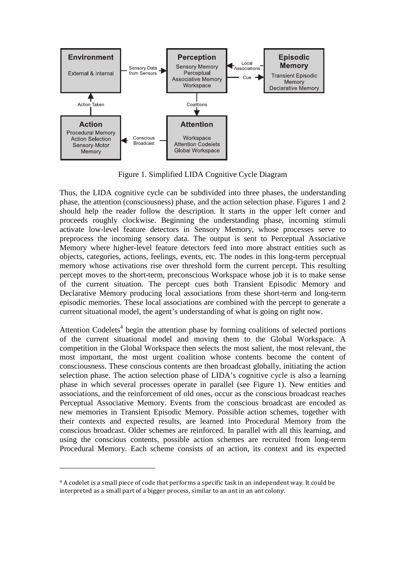

Figure 1. Simplified LIDA Cognitive Cycle Diagram

Thus, the LIDA cognitive cycle can be subdivided into three phases, the understanding phase, the attention (consciousness) phase, and the action selection phase. Figures 1 and 2 should help the reader follow the description. It starts in the upper left corner and proceeds roughly clockwise. Beginning the understanding phase, incoming stimuli activate low-level feature detectors in Sensory Memory, whose processes serve to preprocess the incoming sensory data. The output is sent to Perceptual Associative Memory where higher-level feature detectors feed into more abstract entities such as objects, categories, actions, feelings, events, etc. The nodes in this long-term perceptual memory whose activations rise over threshold form the current percept. This resulting percept moves to the short-term, preconscious Workspace whose job it is to make sense of the current situation. The percept cues both Transient Episodic Memory and Declarative Memory producing local associations from these short-term and long-term episodic memories. These local associations are combined with the percept to generate a current situational model, the agent's understanding of what is going on right now.

Attention Codelets<sup>4</sup> begin the attention phase by forming coalitions of selected portions of the current situational model and moving them to the Global Workspace. A competition in the Global Workspace then selects the most salient, the most relevant, the most important, the most urgent coalition whose contents become the content of consciousness. These conscious contents are then broadcast globally, initiating the action selection phase. The action selection phase of LIDA's cognitive cycle is also a learning phase in which several processes operate in parallel (see Figure 1). New entities and associations, and the reinforcement of old ones, occur as the conscious broadcast reaches Perceptual Associative Memory. Events from the conscious broadcast are encoded as new memories in Transient Episodic Memory. Possible action schemes, together with their contexts and expected results, are learned into Procedural Memory from the conscious broadcast. Older schemes are reinforced. In parallel with all this learning, and using the conscious contents, possible action schemes are recruited from long-term Procedural Memory. Each scheme consists of an action, its context and its expected

<u>.</u>

<sup>4</sup> A codelet is a small piece of code that performs a specific task in an independent way. It could be interpreted as a small part of a bigger process, similar to an ant in an ant colony.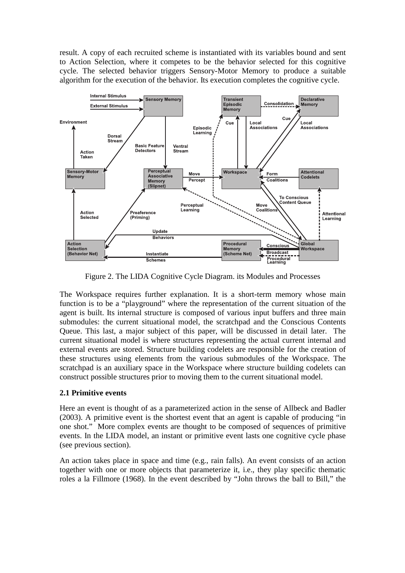result. A copy of each recruited scheme is instantiated with its variables bound and sent to Action Selection, where it competes to be the behavior selected for this cognitive cycle. The selected behavior triggers Sensory-Motor Memory to produce a suitable algorithm for the execution of the behavior. Its execution completes the cognitive cycle.



Figure 2. The LIDA Cognitive Cycle Diagram. its Modules and Processes

The Workspace requires further explanation. It is a short-term memory whose main function is to be a "playground" where the representation of the current situation of the agent is built. Its internal structure is composed of various input buffers and three main submodules: the current situational model, the scratchpad and the Conscious Contents Queue. This last, a major subject of this paper, will be discussed in detail later. The current situational model is where structures representing the actual current internal and external events are stored. Structure building codelets are responsible for the creation of these structures using elements from the various submodules of the Workspace. The scratchpad is an auxiliary space in the Workspace where structure building codelets can construct possible structures prior to moving them to the current situational model.

# **2.1 Primitive events**

Here an event is thought of as a parameterized action in the sense of Allbeck and Badler (2003). A primitive event is the shortest event that an agent is capable of producing "in one shot." More complex events are thought to be composed of sequences of primitive events. In the LIDA model, an instant or primitive event lasts one cognitive cycle phase (see previous section).

An action takes place in space and time (e.g., rain falls). An event consists of an action together with one or more objects that parameterize it, i.e., they play specific thematic roles a la Fillmore (1968). In the event described by "John throws the ball to Bill," the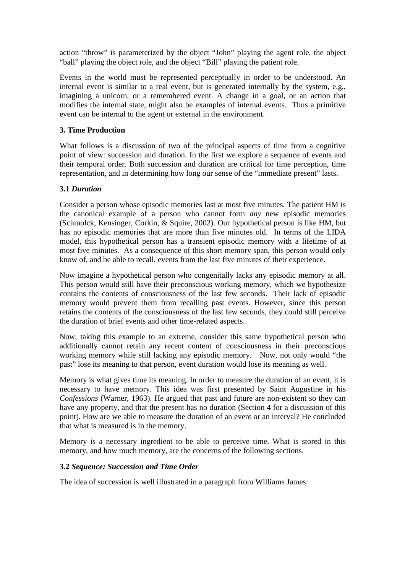action "throw" is parameterized by the object "John" playing the agent role, the object "ball" playing the object role, and the object "Bill" playing the patient role.

Events in the world must be represented perceptually in order to be understood. An internal event is similar to a real event, but is generated internally by the system, e.g., imagining a unicorn, or a remembered event. A change in a goal, or an action that modifies the internal state, might also be examples of internal events. Thus a primitive event can be internal to the agent or external in the environment.

# **3. Time Production**

What follows is a discussion of two of the principal aspects of time from a cognitive point of view: succession and duration. In the first we explore a sequence of events and their temporal order. Both succession and duration are critical for time perception, time representation, and in determining how long our sense of the "immediate present" lasts.

# **3.1** *Duration*

Consider a person whose episodic memories last at most five minutes. The patient HM is the canonical example of a person who cannot form *any* new episodic memories (Schmolck, Kensinger, Corkin, & Squire, 2002). Our hypothetical person is like HM, but has no episodic memories that are more than five minutes old. In terms of the LIDA model, this hypothetical person has a transient episodic memory with a lifetime of at most five minutes. As a consequence of this short memory span, this person would only know of, and be able to recall, events from the last five minutes of their experience.

Now imagine a hypothetical person who congenitally lacks any episodic memory at all. This person would still have their preconscious working memory, which we hypothesize contains the contents of consciousness of the last few seconds. Their lack of episodic memory would prevent them from recalling past events. However, since this person retains the contents of the consciousness of the last few seconds, they could still perceive the duration of brief events and other time-related aspects.

Now, taking this example to an extreme, consider this same hypothetical person who additionally cannot retain any recent content of consciousness in their preconscious working memory while still lacking any episodic memory. Now, not only would "the past" lose its meaning to that person, event duration would lose its meaning as well.

Memory is what gives time its meaning. In order to measure the duration of an event, it is necessary to have memory. This idea was first presented by Saint Augustine in his *Confessions* (Warner, 1963). He argued that past and future are non-existent so they can have any property, and that the present has no duration (Section 4 for a discussion of this point). How are we able to measure the duration of an event or an interval? He concluded that what is measured is in the memory.

Memory is a necessary ingredient to be able to perceive time. What is stored in this memory, and how much memory, are the concerns of the following sections.

# **3.2** *Sequence: Succession and Time Order*

The idea of succession is well illustrated in a paragraph from Williams James: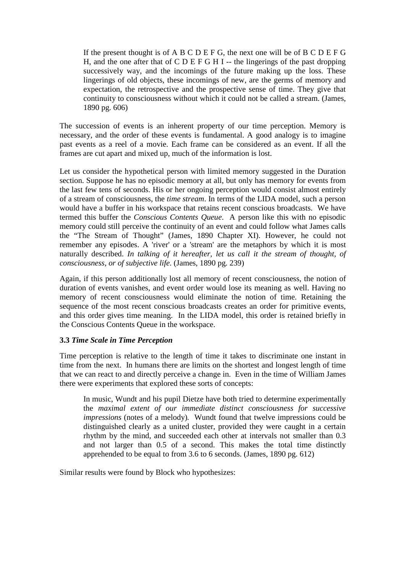If the present thought is of A B C D E F G, the next one will be of B C D E F G H, and the one after that of  $C$  D E F G H I -- the lingerings of the past dropping successively way, and the incomings of the future making up the loss. These lingerings of old objects, these incomings of new, are the germs of memory and expectation, the retrospective and the prospective sense of time. They give that continuity to consciousness without which it could not be called a stream. (James, 1890 pg. 606)

The succession of events is an inherent property of our time perception. Memory is necessary, and the order of these events is fundamental. A good analogy is to imagine past events as a reel of a movie. Each frame can be considered as an event. If all the frames are cut apart and mixed up, much of the information is lost.

Let us consider the hypothetical person with limited memory suggested in the Duration section. Suppose he has no episodic memory at all, but only has memory for events from the last few tens of seconds. His or her ongoing perception would consist almost entirely of a stream of consciousness, the *time stream*. In terms of the LIDA model, such a person would have a buffer in his workspace that retains recent conscious broadcasts. We have termed this buffer the *Conscious Contents Queue*. A person like this with no episodic memory could still perceive the continuity of an event and could follow what James calls the "The Stream of Thought" (James, 1890 Chapter XI). However, he could not remember any episodes. A 'river' or a 'stream' are the metaphors by which it is most naturally described. *In talking of it hereafter, let us call it the stream of thought, of consciousness, or of subjective life*. (James, 1890 pg. 239)

Again, if this person additionally lost all memory of recent consciousness, the notion of duration of events vanishes, and event order would lose its meaning as well. Having no memory of recent consciousness would eliminate the notion of time. Retaining the sequence of the most recent conscious broadcasts creates an order for primitive events, and this order gives time meaning. In the LIDA model, this order is retained briefly in the Conscious Contents Queue in the workspace.

# **3.3** *Time Scale in Time Perception*

Time perception is relative to the length of time it takes to discriminate one instant in time from the next. In humans there are limits on the shortest and longest length of time that we can react to and directly perceive a change in. Even in the time of William James there were experiments that explored these sorts of concepts:

In music, Wundt and his pupil Dietze have both tried to determine experimentally the *maximal extent of our immediate distinct consciousness for successive impressions* (notes of a melody)*.* Wundt found that twelve impressions could be distinguished clearly as a united cluster, provided they were caught in a certain rhythm by the mind, and succeeded each other at intervals not smaller than 0.3 and not larger than 0.5 of a second. This makes the total time distinctly apprehended to be equal to from 3.6 to 6 seconds. (James, 1890 pg. 612)

Similar results were found by Block who hypothesizes: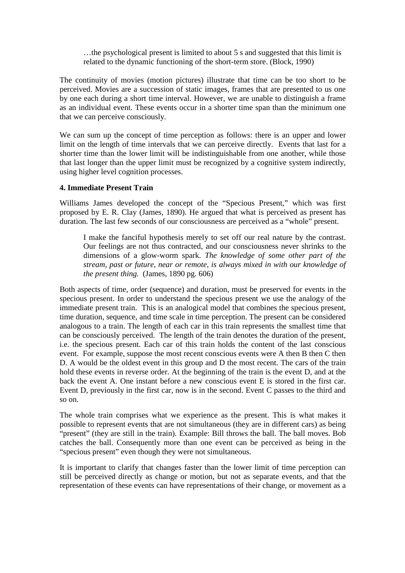…the psychological present is limited to about 5 s and suggested that this limit is related to the dynamic functioning of the short-term store. (Block, 1990)

The continuity of movies (motion pictures) illustrate that time can be too short to be perceived. Movies are a succession of static images, frames that are presented to us one by one each during a short time interval. However, we are unable to distinguish a frame as an individual event. These events occur in a shorter time span than the minimum one that we can perceive consciously.

We can sum up the concept of time perception as follows: there is an upper and lower limit on the length of time intervals that we can perceive directly. Events that last for a shorter time than the lower limit will be indistinguishable from one another, while those that last longer than the upper limit must be recognized by a cognitive system indirectly, using higher level cognition processes.

#### **4. Immediate Present Train**

Williams James developed the concept of the "Specious Present," which was first proposed by E. R. Clay (James, 1890). He argued that what is perceived as present has duration. The last few seconds of our consciousness are perceived as a "whole" present.

I make the fanciful hypothesis merely to set off our real nature by the contrast. Our feelings are not thus contracted, and our consciousness never shrinks to the dimensions of a glow-worm spark. *The knowledge of some other part of the stream, past or future, near or remote, is always mixed in with our knowledge of the present thing.* (James, 1890 pg. 606)

Both aspects of time, order (sequence) and duration, must be preserved for events in the specious present. In order to understand the specious present we use the analogy of the immediate present train. This is an analogical model that combines the specious present, time duration, sequence, and time scale in time perception. The present can be considered analogous to a train. The length of each car in this train represents the smallest time that can be consciously perceived. The length of the train denotes the duration of the present, i.e. the specious present. Each car of this train holds the content of the last conscious event. For example, suppose the most recent conscious events were A then B then C then D. A would be the oldest event in this group and D the most recent. The cars of the train hold these events in reverse order. At the beginning of the train is the event D, and at the back the event A. One instant before a new conscious event E is stored in the first car. Event D, previously in the first car, now is in the second. Event C passes to the third and so on.

The whole train comprises what we experience as the present. This is what makes it possible to represent events that are not simultaneous (they are in different cars) as being "present" (they are still in the train). Example: Bill throws the ball. The ball moves. Bob catches the ball. Consequently more than one event can be perceived as being in the "specious present" even though they were not simultaneous.

It is important to clarify that changes faster than the lower limit of time perception can still be perceived directly as change or motion, but not as separate events, and that the representation of these events can have representations of their change, or movement as a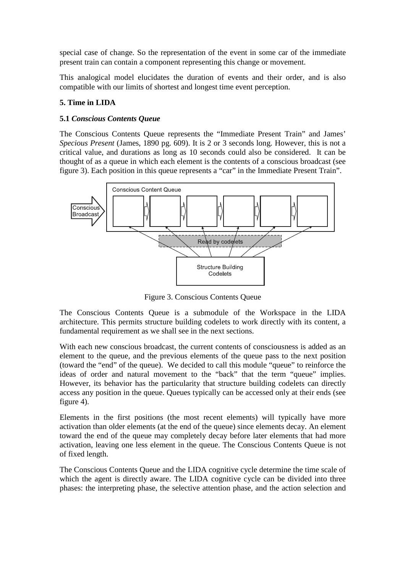special case of change. So the representation of the event in some car of the immediate present train can contain a component representing this change or movement.

This analogical model elucidates the duration of events and their order, and is also compatible with our limits of shortest and longest time event perception.

# **5. Time in LIDA**

# **5.1** *Conscious Contents Queue*

The Conscious Contents Queue represents the "Immediate Present Train" and James' *Specious Present* (James, 1890 pg. 609). It is 2 or 3 seconds long. However, this is not a critical value, and durations as long as 10 seconds could also be considered. It can be thought of as a queue in which each element is the contents of a conscious broadcast (see figure 3). Each position in this queue represents a "car" in the Immediate Present Train".



Figure 3. Conscious Contents Queue

The Conscious Contents Queue is a submodule of the Workspace in the LIDA architecture. This permits structure building codelets to work directly with its content, a fundamental requirement as we shall see in the next sections.

With each new conscious broadcast, the current contents of consciousness is added as an element to the queue, and the previous elements of the queue pass to the next position (toward the "end" of the queue). We decided to call this module "queue" to reinforce the ideas of order and natural movement to the "back" that the term "queue" implies. However, its behavior has the particularity that structure building codelets can directly access any position in the queue. Queues typically can be accessed only at their ends (see figure 4).

Elements in the first positions (the most recent elements) will typically have more activation than older elements (at the end of the queue) since elements decay. An element toward the end of the queue may completely decay before later elements that had more activation, leaving one less element in the queue. The Conscious Contents Queue is not of fixed length.

The Conscious Contents Queue and the LIDA cognitive cycle determine the time scale of which the agent is directly aware. The LIDA cognitive cycle can be divided into three phases: the interpreting phase, the selective attention phase, and the action selection and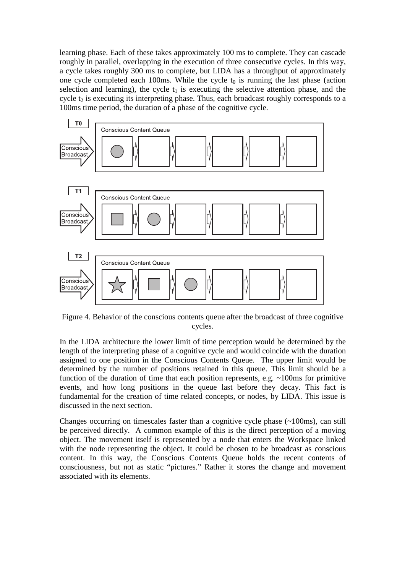learning phase. Each of these takes approximately 100 ms to complete. They can cascade roughly in parallel, overlapping in the execution of three consecutive cycles. In this way, a cycle takes roughly 300 ms to complete, but LIDA has a throughput of approximately one cycle completed each 100ms. While the cycle  $t_0$  is running the last phase (action selection and learning), the cycle  $t_1$  is executing the selective attention phase, and the cycle  $t_2$  is executing its interpreting phase. Thus, each broadcast roughly corresponds to a 100ms time period, the duration of a phase of the cognitive cycle.



Figure 4. Behavior of the conscious contents queue after the broadcast of three cognitive cycles.

In the LIDA architecture the lower limit of time perception would be determined by the length of the interpreting phase of a cognitive cycle and would coincide with the duration assigned to one position in the Conscious Contents Queue. The upper limit would be determined by the number of positions retained in this queue. This limit should be a function of the duration of time that each position represents, e.g. ~100ms for primitive events, and how long positions in the queue last before they decay. This fact is fundamental for the creation of time related concepts, or nodes, by LIDA. This issue is discussed in the next section.

Changes occurring on timescales faster than a cognitive cycle phase (~100ms), can still be perceived directly. A common example of this is the direct perception of a moving object. The movement itself is represented by a node that enters the Workspace linked with the node representing the object. It could be chosen to be broadcast as conscious content. In this way, the Conscious Contents Queue holds the recent contents of consciousness, but not as static "pictures." Rather it stores the change and movement associated with its elements.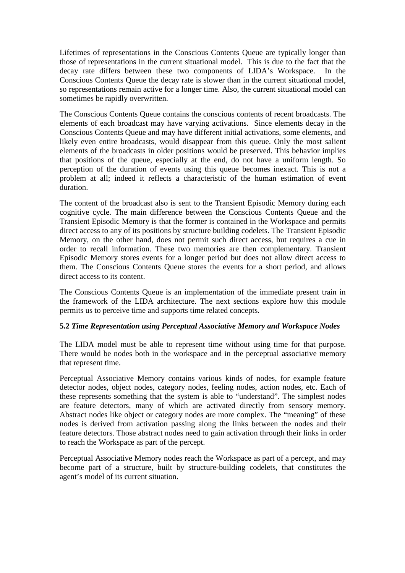Lifetimes of representations in the Conscious Contents Queue are typically longer than those of representations in the current situational model. This is due to the fact that the decay rate differs between these two components of LIDA's Workspace. In the Conscious Contents Queue the decay rate is slower than in the current situational model, so representations remain active for a longer time. Also, the current situational model can sometimes be rapidly overwritten.

The Conscious Contents Queue contains the conscious contents of recent broadcasts. The elements of each broadcast may have varying activations. Since elements decay in the Conscious Contents Queue and may have different initial activations, some elements, and likely even entire broadcasts, would disappear from this queue. Only the most salient elements of the broadcasts in older positions would be preserved. This behavior implies that positions of the queue, especially at the end, do not have a uniform length. So perception of the duration of events using this queue becomes inexact. This is not a problem at all; indeed it reflects a characteristic of the human estimation of event duration.

The content of the broadcast also is sent to the Transient Episodic Memory during each cognitive cycle. The main difference between the Conscious Contents Queue and the Transient Episodic Memory is that the former is contained in the Workspace and permits direct access to any of its positions by structure building codelets. The Transient Episodic Memory, on the other hand, does not permit such direct access, but requires a cue in order to recall information. These two memories are then complementary. Transient Episodic Memory stores events for a longer period but does not allow direct access to them. The Conscious Contents Queue stores the events for a short period, and allows direct access to its content.

The Conscious Contents Queue is an implementation of the immediate present train in the framework of the LIDA architecture. The next sections explore how this module permits us to perceive time and supports time related concepts.

# **5.2** *Time Representation using Perceptual Associative Memory and Workspace Nodes*

The LIDA model must be able to represent time without using time for that purpose. There would be nodes both in the workspace and in the perceptual associative memory that represent time.

Perceptual Associative Memory contains various kinds of nodes, for example feature detector nodes, object nodes, category nodes, feeling nodes, action nodes, etc. Each of these represents something that the system is able to "understand". The simplest nodes are feature detectors, many of which are activated directly from sensory memory. Abstract nodes like object or category nodes are more complex. The "meaning" of these nodes is derived from activation passing along the links between the nodes and their feature detectors. Those abstract nodes need to gain activation through their links in order to reach the Workspace as part of the percept.

Perceptual Associative Memory nodes reach the Workspace as part of a percept, and may become part of a structure, built by structure-building codelets, that constitutes the agent's model of its current situation.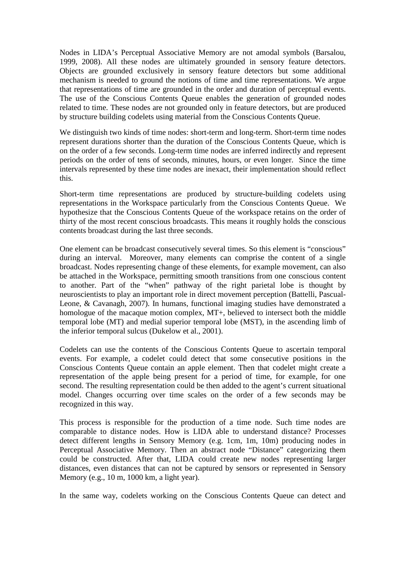Nodes in LIDA's Perceptual Associative Memory are not amodal symbols (Barsalou, 1999, 2008). All these nodes are ultimately grounded in sensory feature detectors. Objects are grounded exclusively in sensory feature detectors but some additional mechanism is needed to ground the notions of time and time representations. We argue that representations of time are grounded in the order and duration of perceptual events. The use of the Conscious Contents Queue enables the generation of grounded nodes related to time. These nodes are not grounded only in feature detectors, but are produced by structure building codelets using material from the Conscious Contents Queue.

We distinguish two kinds of time nodes: short-term and long-term. Short-term time nodes represent durations shorter than the duration of the Conscious Contents Queue, which is on the order of a few seconds. Long-term time nodes are inferred indirectly and represent periods on the order of tens of seconds, minutes, hours, or even longer. Since the time intervals represented by these time nodes are inexact, their implementation should reflect this.

Short-term time representations are produced by structure-building codelets using representations in the Workspace particularly from the Conscious Contents Queue. We hypothesize that the Conscious Contents Queue of the workspace retains on the order of thirty of the most recent conscious broadcasts. This means it roughly holds the conscious contents broadcast during the last three seconds.

One element can be broadcast consecutively several times. So this element is "conscious" during an interval. Moreover, many elements can comprise the content of a single broadcast. Nodes representing change of these elements, for example movement, can also be attached in the Workspace, permitting smooth transitions from one conscious content to another. Part of the "when" pathway of the right parietal lobe is thought by neuroscientists to play an important role in direct movement perception (Battelli, Pascual-Leone, & Cavanagh, 2007). In humans, functional imaging studies have demonstrated a homologue of the macaque motion complex, MT+, believed to intersect both the middle temporal lobe (MT) and medial superior temporal lobe (MST), in the ascending limb of the inferior temporal sulcus (Dukelow et al., 2001).

Codelets can use the contents of the Conscious Contents Queue to ascertain temporal events. For example, a codelet could detect that some consecutive positions in the Conscious Contents Queue contain an apple element. Then that codelet might create a representation of the apple being present for a period of time, for example, for one second. The resulting representation could be then added to the agent's current situational model. Changes occurring over time scales on the order of a few seconds may be recognized in this way.

This process is responsible for the production of a time node. Such time nodes are comparable to distance nodes. How is LIDA able to understand distance? Processes detect different lengths in Sensory Memory (e.g. 1cm, 1m, 10m) producing nodes in Perceptual Associative Memory. Then an abstract node "Distance" categorizing them could be constructed. After that, LIDA could create new nodes representing larger distances, even distances that can not be captured by sensors or represented in Sensory Memory (e.g., 10 m, 1000 km, a light year).

In the same way, codelets working on the Conscious Contents Queue can detect and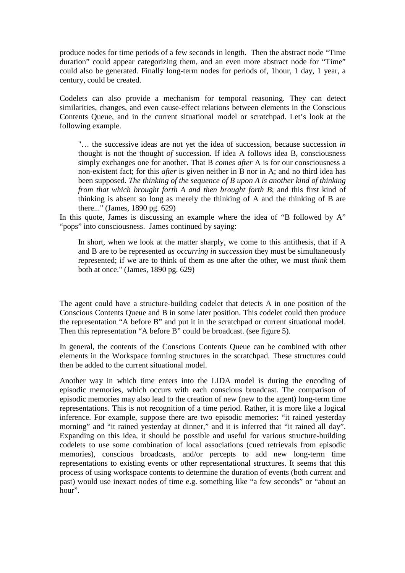produce nodes for time periods of a few seconds in length. Then the abstract node "Time duration" could appear categorizing them, and an even more abstract node for "Time" could also be generated. Finally long-term nodes for periods of, 1hour, 1 day, 1 year, a century, could be created.

Codelets can also provide a mechanism for temporal reasoning. They can detect similarities, changes, and even cause-effect relations between elements in the Conscious Contents Queue, and in the current situational model or scratchpad. Let's look at the following example.

"… the successive ideas are not yet the idea of succession, because succession *in* thought is not the thought *of* succession. If idea A follows idea B, consciousness simply exchanges one for another. That B *comes after* A is for our consciousness a non-existent fact; for this *after* is given neither in B nor in A; and no third idea has been supposed. *The thinking of the sequence of B upon A is another kind of thinking from that which brought forth A and then brought forth B*; and this first kind of thinking is absent so long as merely the thinking of A and the thinking of B are there..." (James, 1890 pg. 629)

In this quote, James is discussing an example where the idea of "B followed by A" "pops" into consciousness. James continued by saying:

In short, when we look at the matter sharply, we come to this antithesis, that if A and B are to be represented *as occurring in succession* they must be simultaneously represented; if we are to think of them as one after the other, we must *think* them both at once." (James, 1890 pg. 629)

The agent could have a structure-building codelet that detects A in one position of the Conscious Contents Queue and B in some later position. This codelet could then produce the representation "A before B" and put it in the scratchpad or current situational model. Then this representation "A before B" could be broadcast. (see figure 5).

In general, the contents of the Conscious Contents Queue can be combined with other elements in the Workspace forming structures in the scratchpad. These structures could then be added to the current situational model.

Another way in which time enters into the LIDA model is during the encoding of episodic memories, which occurs with each conscious broadcast. The comparison of episodic memories may also lead to the creation of new (new to the agent) long-term time representations. This is not recognition of a time period. Rather, it is more like a logical inference. For example, suppose there are two episodic memories: "it rained yesterday morning" and "it rained yesterday at dinner," and it is inferred that "it rained all day". Expanding on this idea, it should be possible and useful for various structure-building codelets to use some combination of local associations (cued retrievals from episodic memories), conscious broadcasts, and/or percepts to add new long-term time representations to existing events or other representational structures. It seems that this process of using workspace contents to determine the duration of events (both current and past) would use inexact nodes of time e.g. something like "a few seconds" or "about an hour".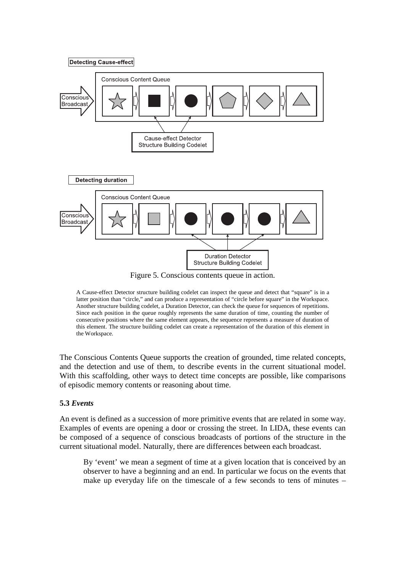

Figure 5. Conscious contents queue in action.

A Cause-effect Detector structure building codelet can inspect the queue and detect that "square" is in a latter position than "circle," and can produce a representation of "circle before square" in the Workspace. Another structure building codelet, a Duration Detector, can check the queue for sequences of repetitions. Since each position in the queue roughly represents the same duration of time, counting the number of consecutive positions where the same element appears, the sequence represents a measure of duration of this element. The structure building codelet can create a representation of the duration of this element in the Workspace.

The Conscious Contents Queue supports the creation of grounded, time related concepts, and the detection and use of them, to describe events in the current situational model. With this scaffolding, other ways to detect time concepts are possible, like comparisons of episodic memory contents or reasoning about time.

# **5.3** *Events*

An event is defined as a succession of more primitive events that are related in some way. Examples of events are opening a door or crossing the street. In LIDA, these events can be composed of a sequence of conscious broadcasts of portions of the structure in the current situational model. Naturally, there are differences between each broadcast.

By 'event' we mean a segment of time at a given location that is conceived by an observer to have a beginning and an end. In particular we focus on the events that make up everyday life on the timescale of a few seconds to tens of minutes –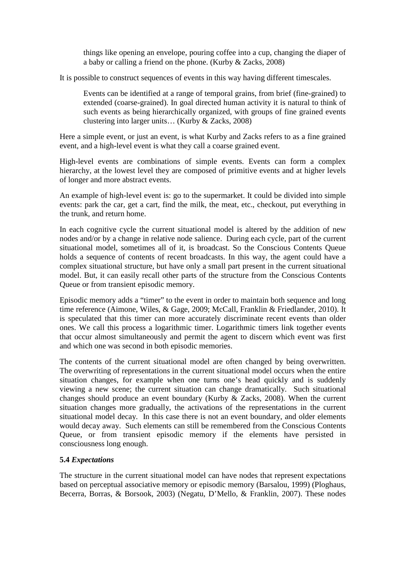things like opening an envelope, pouring coffee into a cup, changing the diaper of a baby or calling a friend on the phone. (Kurby & Zacks, 2008)

It is possible to construct sequences of events in this way having different timescales.

Events can be identified at a range of temporal grains, from brief (fine-grained) to extended (coarse-grained). In goal directed human activity it is natural to think of such events as being hierarchically organized, with groups of fine grained events clustering into larger units… (Kurby & Zacks, 2008)

Here a simple event, or just an event, is what Kurby and Zacks refers to as a fine grained event, and a high-level event is what they call a coarse grained event.

High-level events are combinations of simple events. Events can form a complex hierarchy, at the lowest level they are composed of primitive events and at higher levels of longer and more abstract events.

An example of high-level event is: go to the supermarket. It could be divided into simple events: park the car, get a cart, find the milk, the meat, etc., checkout, put everything in the trunk, and return home.

In each cognitive cycle the current situational model is altered by the addition of new nodes and/or by a change in relative node salience. During each cycle, part of the current situational model, sometimes all of it, is broadcast. So the Conscious Contents Queue holds a sequence of contents of recent broadcasts. In this way, the agent could have a complex situational structure, but have only a small part present in the current situational model. But, it can easily recall other parts of the structure from the Conscious Contents Queue or from transient episodic memory.

Episodic memory adds a "timer" to the event in order to maintain both sequence and long time reference (Aimone, Wiles, & Gage, 2009; McCall, Franklin & Friedlander, 2010). It is speculated that this timer can more accurately discriminate recent events than older ones. We call this process a logarithmic timer. Logarithmic timers link together events that occur almost simultaneously and permit the agent to discern which event was first and which one was second in both episodic memories.

The contents of the current situational model are often changed by being overwritten. The overwriting of representations in the current situational model occurs when the entire situation changes, for example when one turns one's head quickly and is suddenly viewing a new scene; the current situation can change dramatically. Such situational changes should produce an event boundary (Kurby & Zacks, 2008). When the current situation changes more gradually, the activations of the representations in the current situational model decay. In this case there is not an event boundary, and older elements would decay away. Such elements can still be remembered from the Conscious Contents Queue, or from transient episodic memory if the elements have persisted in consciousness long enough.

# **5.4** *Expectations*

The structure in the current situational model can have nodes that represent expectations based on perceptual associative memory or episodic memory (Barsalou, 1999) (Ploghaus, Becerra, Borras, & Borsook, 2003) (Negatu, D'Mello, & Franklin, 2007). These nodes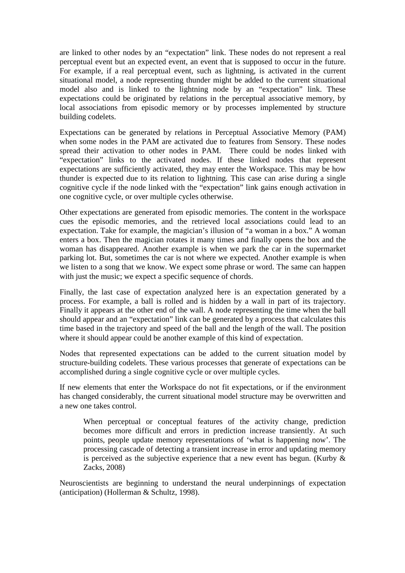are linked to other nodes by an "expectation" link. These nodes do not represent a real perceptual event but an expected event, an event that is supposed to occur in the future. For example, if a real perceptual event, such as lightning, is activated in the current situational model, a node representing thunder might be added to the current situational model also and is linked to the lightning node by an "expectation" link. These expectations could be originated by relations in the perceptual associative memory, by local associations from episodic memory or by processes implemented by structure building codelets.

Expectations can be generated by relations in Perceptual Associative Memory (PAM) when some nodes in the PAM are activated due to features from Sensory. These nodes spread their activation to other nodes in PAM. There could be nodes linked with "expectation" links to the activated nodes. If these linked nodes that represent expectations are sufficiently activated, they may enter the Workspace. This may be how thunder is expected due to its relation to lightning. This case can arise during a single cognitive cycle if the node linked with the "expectation" link gains enough activation in one cognitive cycle, or over multiple cycles otherwise.

Other expectations are generated from episodic memories. The content in the workspace cues the episodic memories, and the retrieved local associations could lead to an expectation. Take for example, the magician's illusion of "a woman in a box." A woman enters a box. Then the magician rotates it many times and finally opens the box and the woman has disappeared. Another example is when we park the car in the supermarket parking lot. But, sometimes the car is not where we expected. Another example is when we listen to a song that we know. We expect some phrase or word. The same can happen with just the music; we expect a specific sequence of chords.

Finally, the last case of expectation analyzed here is an expectation generated by a process. For example, a ball is rolled and is hidden by a wall in part of its trajectory. Finally it appears at the other end of the wall. A node representing the time when the ball should appear and an "expectation" link can be generated by a process that calculates this time based in the trajectory and speed of the ball and the length of the wall. The position where it should appear could be another example of this kind of expectation.

Nodes that represented expectations can be added to the current situation model by structure-building codelets. These various processes that generate of expectations can be accomplished during a single cognitive cycle or over multiple cycles.

If new elements that enter the Workspace do not fit expectations, or if the environment has changed considerably, the current situational model structure may be overwritten and a new one takes control.

When perceptual or conceptual features of the activity change, prediction becomes more difficult and errors in prediction increase transiently. At such points, people update memory representations of 'what is happening now'. The processing cascade of detecting a transient increase in error and updating memory is perceived as the subjective experience that a new event has begun. (Kurby  $\&$ Zacks, 2008)

Neuroscientists are beginning to understand the neural underpinnings of expectation (anticipation) (Hollerman & Schultz, 1998).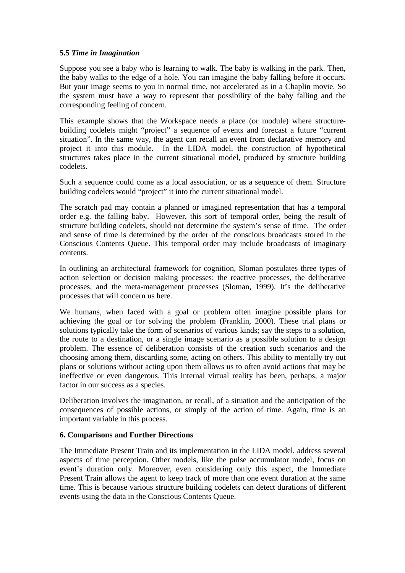## **5.5** *Time in Imagination*

Suppose you see a baby who is learning to walk. The baby is walking in the park. Then, the baby walks to the edge of a hole. You can imagine the baby falling before it occurs. But your image seems to you in normal time, not accelerated as in a Chaplin movie. So the system must have a way to represent that possibility of the baby falling and the corresponding feeling of concern.

This example shows that the Workspace needs a place (or module) where structurebuilding codelets might "project" a sequence of events and forecast a future "current situation". In the same way, the agent can recall an event from declarative memory and project it into this module. In the LIDA model, the construction of hypothetical structures takes place in the current situational model, produced by structure building codelets.

Such a sequence could come as a local association, or as a sequence of them. Structure building codelets would "project" it into the current situational model.

The scratch pad may contain a planned or imagined representation that has a temporal order e.g. the falling baby. However, this sort of temporal order, being the result of structure building codelets, should not determine the system's sense of time. The order and sense of time is determined by the order of the conscious broadcasts stored in the Conscious Contents Queue. This temporal order may include broadcasts of imaginary contents.

In outlining an architectural framework for cognition, Sloman postulates three types of action selection or decision making processes: the reactive processes, the deliberative processes, and the meta-management processes (Sloman, 1999). It's the deliberative processes that will concern us here.

We humans, when faced with a goal or problem often imagine possible plans for achieving the goal or for solving the problem (Franklin, 2000). These trial plans or solutions typically take the form of scenarios of various kinds; say the steps to a solution, the route to a destination, or a single image scenario as a possible solution to a design problem. The essence of deliberation consists of the creation such scenarios and the choosing among them, discarding some, acting on others. This ability to mentally try out plans or solutions without acting upon them allows us to often avoid actions that may be ineffective or even dangerous. This internal virtual reality has been, perhaps, a major factor in our success as a species.

Deliberation involves the imagination, or recall, of a situation and the anticipation of the consequences of possible actions, or simply of the action of time. Again, time is an important variable in this process.

# **6. Comparisons and Further Directions**

The Immediate Present Train and its implementation in the LIDA model, address several aspects of time perception. Other models, like the pulse accumulator model, focus on event's duration only. Moreover, even considering only this aspect, the Immediate Present Train allows the agent to keep track of more than one event duration at the same time. This is because various structure building codelets can detect durations of different events using the data in the Conscious Contents Queue.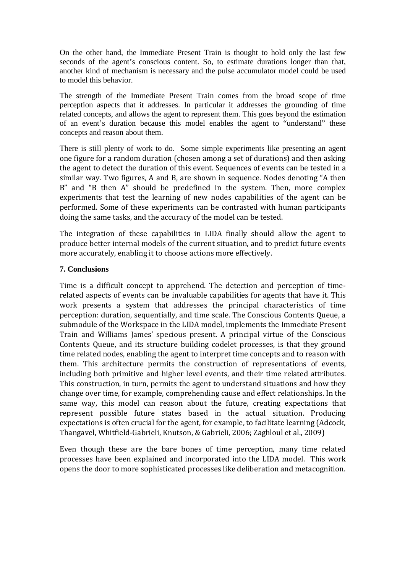On the other hand, the Immediate Present Train is thought to hold only the last few seconds of the agent's conscious content. So, to estimate durations longer than that, another kind of mechanism is necessary and the pulse accumulator model could be used to model this behavior.

The strength of the Immediate Present Train comes from the broad scope of time perception aspects that it addresses. In particular it addresses the grounding of time related concepts, and allows the agent to represent them. This goes beyond the estimation of an event's duration because this model enables the agent to "understand" these concepts and reason about them.

There is still plenty of work to do. Some simple experiments like presenting an agent one figure for a random duration (chosen among a set of durations) and then asking the agent to detect the duration of this event. Sequences of events can be tested in a similar way. Two figures, A and B, are shown in sequence. Nodes denoting "A then B" and "B then A" should be predefined in the system. Then, more complex experiments that test the learning of new nodes capabilities of the agent can be performed. Some of these experiments can be contrasted with human participants doing the same tasks, and the accuracy of the model can be tested.

The integration of these capabilities in LIDA finally should allow the agent to produce better internal models of the current situation, and to predict future events more accurately, enabling it to choose actions more effectively.

# **7. Conclusions**

Time is a difficult concept to apprehend. The detection and perception of timerelated aspects of events can be invaluable capabilities for agents that have it. This work presents a system that addresses the principal characteristics of time perception: duration, sequentially, and time scale. The Conscious Contents Queue, a submodule of the Workspace in the LIDA model, implements the Immediate Present Train and Williams James' specious present. A principal virtue of the Conscious Contents Queue, and its structure building codelet processes, is that they ground time related nodes, enabling the agent to interpret time concepts and to reason with them. This architecture permits the construction of representations of events, including both primitive and higher level events, and their time related attributes. This construction, in turn, permits the agent to understand situations and how they change over time, for example, comprehending cause and effect relationships. In the same way, this model can reason about the future, creating expectations that represent possible future states based in the actual situation. Producing expectations is often crucial for the agent, for example, to facilitate learning (Adcock, Thangavel, Whitfield-Gabrieli, Knutson, & Gabrieli, 2006; Zaghloul et al., 2009)

Even though these are the bare bones of time perception, many time related processes have been explained and incorporated into the LIDA model. This work opens the door to more sophisticated processes like deliberation and metacognition.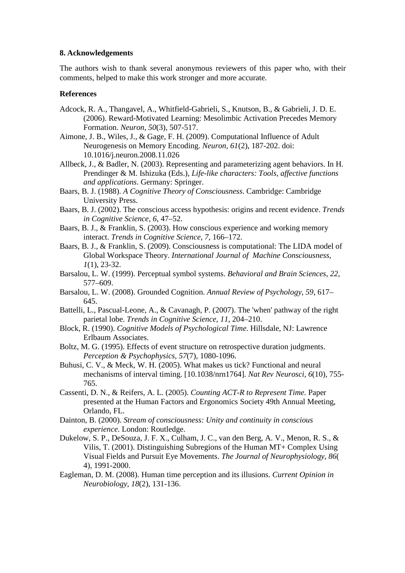#### **8. Acknowledgements**

The authors wish to thank several anonymous reviewers of this paper who, with their comments, helped to make this work stronger and more accurate.

#### **References**

- Adcock, R. A., Thangavel, A., Whitfield-Gabrieli, S., Knutson, B., & Gabrieli, J. D. E. (2006). Reward-Motivated Learning: Mesolimbic Activation Precedes Memory Formation. *Neuron, 50*(3), 507-517.
- Aimone, J. B., Wiles, J., & Gage, F. H. (2009). Computational Influence of Adult Neurogenesis on Memory Encoding. *Neuron, 61*(2), 187-202. doi: 10.1016/j.neuron.2008.11.026
- Allbeck, J., & Badler, N. (2003). Representing and parameterizing agent behaviors. In H. Prendinger & M. Ishizuka (Eds.), *Life-like characters: Tools, affective functions and applications*. Germany: Springer.
- Baars, B. J. (1988). *A Cognitive Theory of Consciousness*. Cambridge: Cambridge University Press.
- Baars, B. J. (2002). The conscious access hypothesis: origins and recent evidence. *Trends in Cognitive Science, 6*, 47–52.
- Baars, B. J., & Franklin, S. (2003). How conscious experience and working memory interact. *Trends in Cognitive Science, 7*, 166–172.
- Baars, B. J., & Franklin, S. (2009). Consciousness is computational: The LIDA model of Global Workspace Theory. *International Journal of Machine Consciousness, 1*(1), 23-32.
- Barsalou, L. W. (1999). Perceptual symbol systems. *Behavioral and Brain Sciences, 22*, 577–609.
- Barsalou, L. W. (2008). Grounded Cognition. *Annual Review of Psychology, 59*, 617– 645.
- Battelli, L., Pascual-Leone, A., & Cavanagh, P. (2007). The 'when' pathway of the right parietal lobe. *Trends in Cognitive Science, 11*, 204–210.
- Block, R. (1990). *Cognitive Models of Psychological Time*. Hillsdale, NJ: Lawrence Erlbaum Associates.
- Boltz, M. G. (1995). Effects of event structure on retrospective duration judgments. *Perception & Psychophysics, 57*(7), 1080-1096.
- Buhusi, C. V., & Meck, W. H. (2005). What makes us tick? Functional and neural mechanisms of interval timing. [10.1038/nrn1764]. *Nat Rev Neurosci, 6*(10), 755- 765.
- Cassenti, D. N., & Reifers, A. L. (2005). *Counting ACT-R to Represent Time.* Paper presented at the Human Factors and Ergonomics Society 49th Annual Meeting, Orlando, FL.
- Dainton, B. (2000). *Stream of consciousness: Unity and continuity in conscious experience*. London: Routledge.
- Dukelow, S. P., DeSouza, J. F. X., Culham, J. C., van den Berg, A. V., Menon, R. S., & Vilis, T. (2001). Distinguishing Subregions of the Human MT+ Complex Using Visual Fields and Pursuit Eye Movements. *The Journal of Neurophysiology, 86*( 4), 1991-2000.
- Eagleman, D. M. (2008). Human time perception and its illusions. *Current Opinion in Neurobiology, 18*(2), 131-136.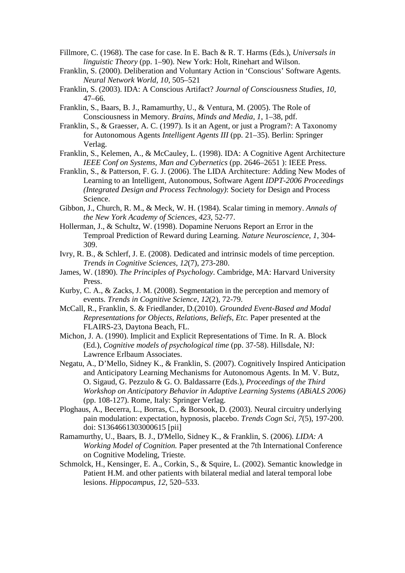- Fillmore, C. (1968). The case for case. In E. Bach & R. T. Harms (Eds.), *Universals in linguistic Theory* (pp. 1–90). New York: Holt, Rinehart and Wilson.
- Franklin, S. (2000). Deliberation and Voluntary Action in 'Conscious' Software Agents. *Neural Network World, 10*, 505–521
- Franklin, S. (2003). IDA: A Conscious Artifact? *Journal of Consciousness Studies, 10*, 47–66.
- Franklin, S., Baars, B. J., Ramamurthy, U., & Ventura, M. (2005). The Role of Consciousness in Memory. *Brains, Minds and Media, 1*, 1–38, pdf.
- Franklin, S., & Graesser, A. C. (1997). Is it an Agent, or just a Program?: A Taxonomy for Autonomous Agents *Intelligent Agents III* (pp. 21–35). Berlin: Springer Verlag.
- Franklin, S., Kelemen, A., & McCauley, L. (1998). IDA: A Cognitive Agent Architecture *IEEE Conf on Systems, Man and Cybernetics* (pp. 2646–2651 ): IEEE Press.
- Franklin, S., & Patterson, F. G. J. (2006). The LIDA Architecture: Adding New Modes of Learning to an Intelligent, Autonomous, Software Agent *IDPT-2006 Proceedings (Integrated Design and Process Technology)*: Society for Design and Process Science.
- Gibbon, J., Church, R. M., & Meck, W. H. (1984). Scalar timing in memory. *Annals of the New York Academy of Sciences, 423*, 52-77.
- Hollerman, J., & Schultz, W. (1998). Dopamine Neruons Report an Error in the Temproal Prediction of Reward during Learning. *Nature Neuroscience, 1*, 304- 309.
- Ivry, R. B., & Schlerf, J. E. (2008). Dedicated and intrinsic models of time perception. *Trends in Cognitive Sciences, 12*(7), 273-280.
- James, W. (1890). *The Principles of Psychology*. Cambridge, MA: Harvard University Press.
- Kurby, C. A., & Zacks, J. M. (2008). Segmentation in the perception and memory of events. *Trends in Cognitive Science, 12*(2), 72-79.
- McCall, R., Franklin, S. & Friedlander, D.(2010). *Grounded Event-Based and Modal Representations for Objects, Relations, Beliefs, Etc.* Paper presented at the FLAIRS-23, Daytona Beach, FL.
- Michon, J. A. (1990). Implicit and Explicit Representations of Time. In R. A. Block (Ed.), *Cognitive models of psychological time* (pp. 37-58). Hillsdale, NJ: Lawrence Erlbaum Associates.
- Negatu, A., D'Mello, Sidney K., & Franklin, S. (2007). Cognitively Inspired Anticipation and Anticipatory Learning Mechanisms for Autonomous Agents. In M. V. Butz, O. Sigaud, G. Pezzulo & G. O. Baldassarre (Eds.), *Proceedings of the Third Workshop on Anticipatory Behavior in Adaptive Learning Systems (ABiALS 2006)* (pp. 108-127). Rome, Italy: Springer Verlag.
- Ploghaus, A., Becerra, L., Borras, C., & Borsook, D. (2003). Neural circuitry underlying pain modulation: expectation, hypnosis, placebo. *Trends Cogn Sci, 7*(5), 197-200. doi: S1364661303000615 [pii]
- Ramamurthy, U., Baars, B. J., D'Mello, Sidney K., & Franklin, S. (2006). *LIDA: A Working Model of Cognition.* Paper presented at the 7th International Conference on Cognitive Modeling, Trieste.
- Schmolck, H., Kensinger, E. A., Corkin, S., & Squire, L. (2002). Semantic knowledge in Patient H.M. and other patients with bilateral medial and lateral temporal lobe lesions. *Hippocampus, 12*, 520–533.